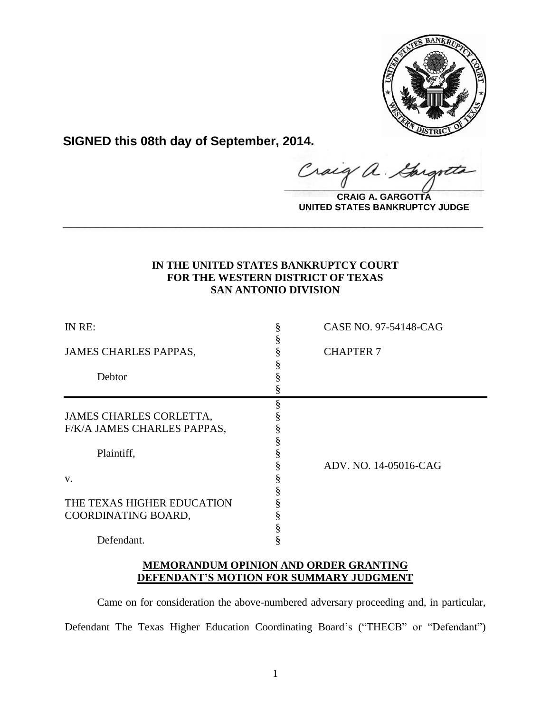

**SIGNED this 08th day of September, 2014.**

**\_\_\_\_\_\_\_\_\_\_\_\_\_\_\_\_\_\_\_\_\_\_\_\_\_\_\_\_\_\_\_\_\_\_\_\_\_\_\_\_**  $\hat{a}$ .

**CRAIG A. GARGOTTA UNITED STATES BANKRUPTCY JUDGE**

# **IN THE UNITED STATES BANKRUPTCY COURT FOR THE WESTERN DISTRICT OF TEXAS SAN ANTONIO DIVISION**

**\_\_\_\_\_\_\_\_\_\_\_\_\_\_\_\_\_\_\_\_\_\_\_\_\_\_\_\_\_\_\_\_\_\_\_\_\_\_\_\_\_\_\_\_\_\_\_\_\_\_\_\_\_\_\_\_\_\_\_\_**

| IN RE:                         | CASE NO. 97-54148-CAG |
|--------------------------------|-----------------------|
|                                |                       |
| <b>JAMES CHARLES PAPPAS,</b>   | <b>CHAPTER 7</b>      |
|                                |                       |
| Debtor                         |                       |
|                                |                       |
|                                |                       |
| <b>JAMES CHARLES CORLETTA,</b> |                       |
| F/K/A JAMES CHARLES PAPPAS,    |                       |
|                                |                       |
| Plaintiff,                     |                       |
|                                | ADV. NO. 14-05016-CAG |
| V.                             |                       |
|                                |                       |
| THE TEXAS HIGHER EDUCATION     |                       |
| COORDINATING BOARD,            |                       |
|                                |                       |
| Defendant.                     |                       |

## **MEMORANDUM OPINION AND ORDER GRANTING DEFENDANT'S MOTION FOR SUMMARY JUDGMENT**

Came on for consideration the above-numbered adversary proceeding and, in particular, Defendant The Texas Higher Education Coordinating Board's ("THECB" or "Defendant")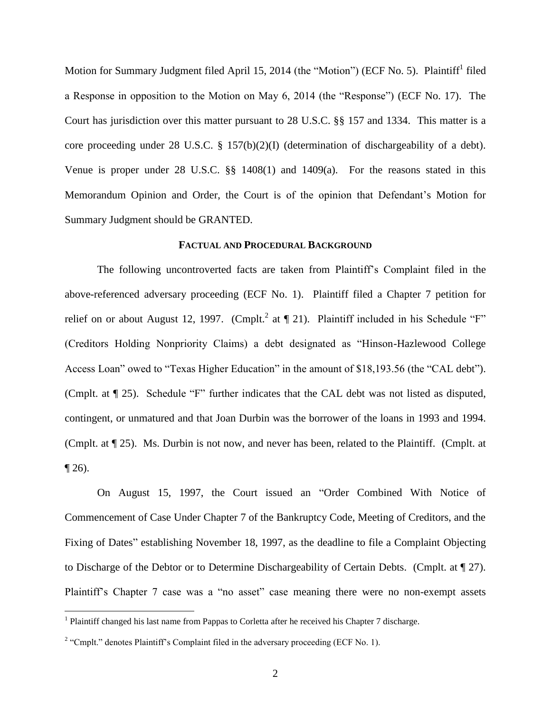Motion for Summary Judgment filed April 15, 2014 (the "Motion") (ECF No. 5). Plaintiff<sup>1</sup> filed a Response in opposition to the Motion on May 6, 2014 (the "Response") (ECF No. 17). The Court has jurisdiction over this matter pursuant to 28 U.S.C. §§ 157 and 1334. This matter is a core proceeding under 28 U.S.C. § 157(b)(2)(I) (determination of dischargeability of a debt). Venue is proper under 28 U.S.C. §§ 1408(1) and 1409(a). For the reasons stated in this Memorandum Opinion and Order, the Court is of the opinion that Defendant's Motion for Summary Judgment should be GRANTED.

### **FACTUAL AND PROCEDURAL BACKGROUND**

The following uncontroverted facts are taken from Plaintiff's Complaint filed in the above-referenced adversary proceeding (ECF No. 1). Plaintiff filed a Chapter 7 petition for relief on or about August 12, 1997. (Cmplt.<sup>2</sup> at  $\P$  21). Plaintiff included in his Schedule "F" (Creditors Holding Nonpriority Claims) a debt designated as "Hinson-Hazlewood College Access Loan" owed to "Texas Higher Education" in the amount of \$18,193.56 (the "CAL debt"). (Cmplt. at ¶ 25). Schedule "F" further indicates that the CAL debt was not listed as disputed, contingent, or unmatured and that Joan Durbin was the borrower of the loans in 1993 and 1994. (Cmplt. at ¶ 25). Ms. Durbin is not now, and never has been, related to the Plaintiff. (Cmplt. at  $\P$  26).

On August 15, 1997, the Court issued an "Order Combined With Notice of Commencement of Case Under Chapter 7 of the Bankruptcy Code, Meeting of Creditors, and the Fixing of Dates" establishing November 18, 1997, as the deadline to file a Complaint Objecting to Discharge of the Debtor or to Determine Dischargeability of Certain Debts. (Cmplt. at ¶ 27). Plaintiff's Chapter 7 case was a "no asset" case meaning there were no non-exempt assets

 $\overline{a}$ 

<sup>&</sup>lt;sup>1</sup> Plaintiff changed his last name from Pappas to Corletta after he received his Chapter 7 discharge.

 $2 \text{``Cmplt."}$  denotes Plaintiff's Complaint filed in the adversary proceeding (ECF No. 1).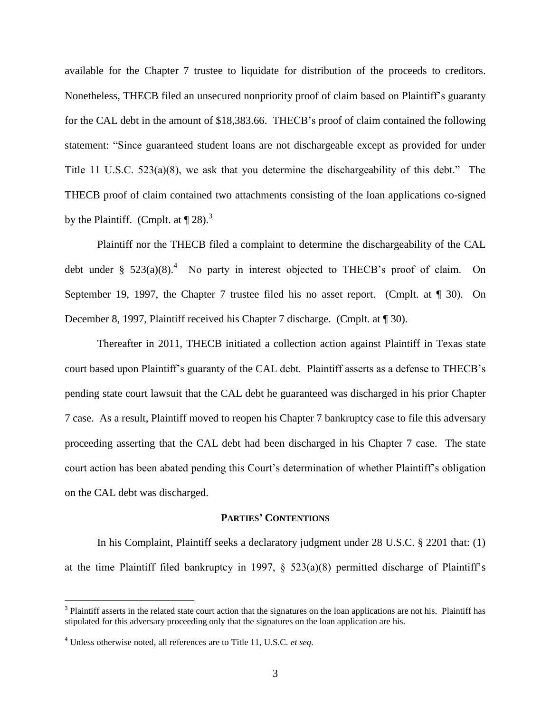available for the Chapter 7 trustee to liquidate for distribution of the proceeds to creditors. Nonetheless, THECB filed an unsecured nonpriority proof of claim based on Plaintiff's guaranty for the CAL debt in the amount of \$18,383.66. THECB's proof of claim contained the following statement: "Since guaranteed student loans are not dischargeable except as provided for under Title 11 U.S.C. 523(a)(8), we ask that you determine the dischargeability of this debt." The THECB proof of claim contained two attachments consisting of the loan applications co-signed by the Plaintiff. (Cmplt. at  $\P$  28).<sup>3</sup>

Plaintiff nor the THECB filed a complaint to determine the dischargeability of the CAL debt under §  $523(a)(8)$ .<sup>4</sup> No party in interest objected to THECB's proof of claim. On September 19, 1997, the Chapter 7 trustee filed his no asset report. (Cmplt. at ¶ 30). On December 8, 1997, Plaintiff received his Chapter 7 discharge. (Cmplt. at  $\P$  30).

Thereafter in 2011, THECB initiated a collection action against Plaintiff in Texas state court based upon Plaintiff's guaranty of the CAL debt. Plaintiff asserts as a defense to THECB's pending state court lawsuit that the CAL debt he guaranteed was discharged in his prior Chapter 7 case. As a result, Plaintiff moved to reopen his Chapter 7 bankruptcy case to file this adversary proceeding asserting that the CAL debt had been discharged in his Chapter 7 case. The state court action has been abated pending this Court's determination of whether Plaintiff's obligation on the CAL debt was discharged.

### **PARTIES' CONTENTIONS**

In his Complaint, Plaintiff seeks a declaratory judgment under 28 U.S.C. § 2201 that: (1) at the time Plaintiff filed bankruptcy in 1997,  $\S$  523(a)(8) permitted discharge of Plaintiff's

 $\overline{a}$ 

 $3$  Plaintiff asserts in the related state court action that the signatures on the loan applications are not his. Plaintiff has stipulated for this adversary proceeding only that the signatures on the loan application are his.

<sup>4</sup> Unless otherwise noted, all references are to Title 11, U.S.C. *et seq.*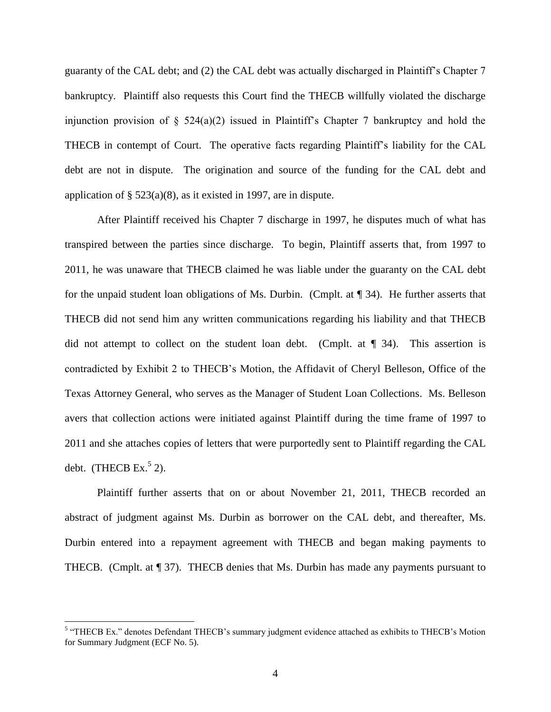guaranty of the CAL debt; and (2) the CAL debt was actually discharged in Plaintiff's Chapter 7 bankruptcy. Plaintiff also requests this Court find the THECB willfully violated the discharge injunction provision of  $\S$  524(a)(2) issued in Plaintiff's Chapter 7 bankruptcy and hold the THECB in contempt of Court. The operative facts regarding Plaintiff's liability for the CAL debt are not in dispute. The origination and source of the funding for the CAL debt and application of  $\S$  523(a)(8), as it existed in 1997, are in dispute.

After Plaintiff received his Chapter 7 discharge in 1997, he disputes much of what has transpired between the parties since discharge. To begin, Plaintiff asserts that, from 1997 to 2011, he was unaware that THECB claimed he was liable under the guaranty on the CAL debt for the unpaid student loan obligations of Ms. Durbin. (Cmplt. at ¶ 34). He further asserts that THECB did not send him any written communications regarding his liability and that THECB did not attempt to collect on the student loan debt. (Cmplt. at ¶ 34). This assertion is contradicted by Exhibit 2 to THECB's Motion, the Affidavit of Cheryl Belleson, Office of the Texas Attorney General, who serves as the Manager of Student Loan Collections. Ms. Belleson avers that collection actions were initiated against Plaintiff during the time frame of 1997 to 2011 and she attaches copies of letters that were purportedly sent to Plaintiff regarding the CAL debt. (THECB Ex. $5$  2).

Plaintiff further asserts that on or about November 21, 2011, THECB recorded an abstract of judgment against Ms. Durbin as borrower on the CAL debt, and thereafter, Ms. Durbin entered into a repayment agreement with THECB and began making payments to THECB. (Cmplt. at ¶ 37). THECB denies that Ms. Durbin has made any payments pursuant to

 5 "THECB Ex." denotes Defendant THECB's summary judgment evidence attached as exhibits to THECB's Motion for Summary Judgment (ECF No. 5).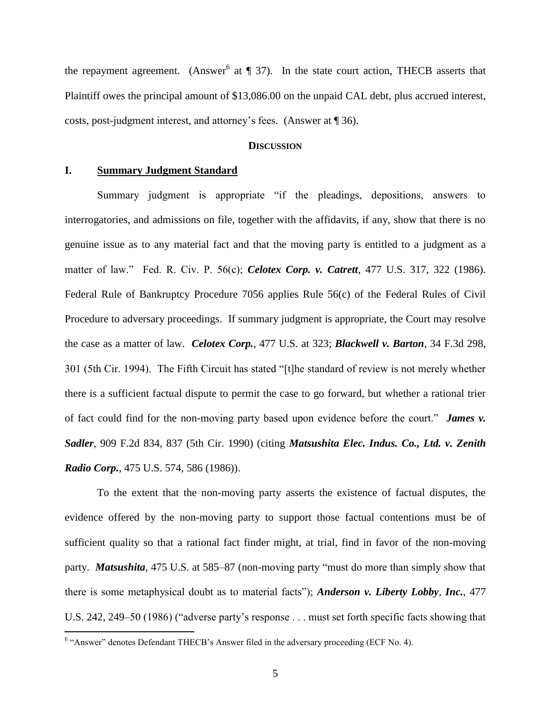the repayment agreement. (Answer<sup>6</sup> at  $\P$  37). In the state court action, THECB asserts that Plaintiff owes the principal amount of \$13,086.00 on the unpaid CAL debt, plus accrued interest, costs, post-judgment interest, and attorney's fees. (Answer at ¶ 36).

### **DISCUSSION**

## **I. Summary Judgment Standard**

Summary judgment is appropriate "if the pleadings, depositions, answers to interrogatories, and admissions on file, together with the affidavits, if any, show that there is no genuine issue as to any material fact and that the moving party is entitled to a judgment as a matter of law." Fed. R. Civ. P. 56(c); *Celotex Corp. v. Catrett*, 477 U.S. 317, 322 (1986). Federal Rule of Bankruptcy Procedure 7056 applies Rule 56(c) of the Federal Rules of Civil Procedure to adversary proceedings. If summary judgment is appropriate, the Court may resolve the case as a matter of law. *Celotex Corp.*, 477 U.S. at 323; *Blackwell v. Barton*, 34 F.3d 298, 301 (5th Cir. 1994). The Fifth Circuit has stated "[t]he standard of review is not merely whether there is a sufficient factual dispute to permit the case to go forward, but whether a rational trier of fact could find for the non-moving party based upon evidence before the court." *James v. Sadler*, 909 F.2d 834, 837 (5th Cir. 1990) (citing *Matsushita Elec. Indus. Co., Ltd. v. Zenith Radio Corp.*, 475 U.S. 574, 586 (1986)).

To the extent that the non-moving party asserts the existence of factual disputes, the evidence offered by the non-moving party to support those factual contentions must be of sufficient quality so that a rational fact finder might, at trial, find in favor of the non-moving party. *Matsushita,* 475 U.S. at 585–87 (non-moving party "must do more than simply show that there is some metaphysical doubt as to material facts"); *Anderson v. Liberty Lobby, Inc.*, 477 U.S. 242, 249–50 (1986) ("adverse party's response . . . must set forth specific facts showing that

 6 "Answer" denotes Defendant THECB's Answer filed in the adversary proceeding (ECF No. 4).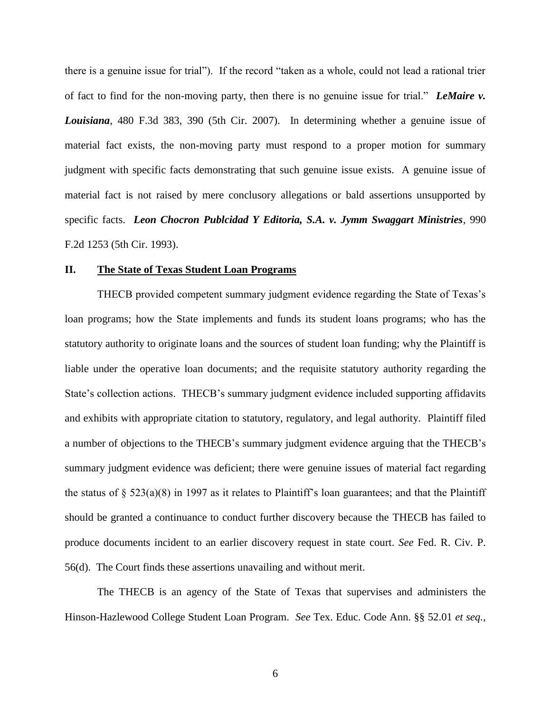there is a genuine issue for trial"). If the record "taken as a whole, could not lead a rational trier of fact to find for the non-moving party, then there is no genuine issue for trial." *LeMaire v. Louisiana*, 480 F.3d 383, 390 (5th Cir. 2007). In determining whether a genuine issue of material fact exists, the non-moving party must respond to a proper motion for summary judgment with specific facts demonstrating that such genuine issue exists. A genuine issue of material fact is not raised by mere conclusory allegations or bald assertions unsupported by specific facts. *Leon Chocron Publcidad Y Editoria, S.A. v. Jymm Swaggart Ministries*, 990 F.2d 1253 (5th Cir. 1993).

## **II. The State of Texas Student Loan Programs**

THECB provided competent summary judgment evidence regarding the State of Texas's loan programs; how the State implements and funds its student loans programs; who has the statutory authority to originate loans and the sources of student loan funding; why the Plaintiff is liable under the operative loan documents; and the requisite statutory authority regarding the State's collection actions. THECB's summary judgment evidence included supporting affidavits and exhibits with appropriate citation to statutory, regulatory, and legal authority. Plaintiff filed a number of objections to the THECB's summary judgment evidence arguing that the THECB's summary judgment evidence was deficient; there were genuine issues of material fact regarding the status of  $\S$  523(a)(8) in 1997 as it relates to Plaintiff's loan guarantees; and that the Plaintiff should be granted a continuance to conduct further discovery because the THECB has failed to produce documents incident to an earlier discovery request in state court. *See* Fed. R. Civ. P. 56(d). The Court finds these assertions unavailing and without merit.

The THECB is an agency of the State of Texas that supervises and administers the Hinson-Hazlewood College Student Loan Program. *See* Tex. Educ. Code Ann. §§ 52.01 *et seq.*,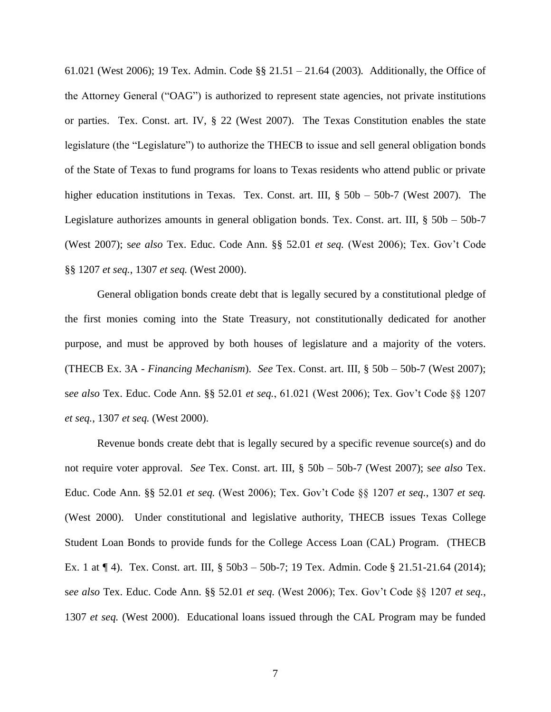61.021 (West 2006); 19 Tex. Admin. Code §§ 21.51 – 21.64 (2003)*.* Additionally, the Office of the Attorney General ("OAG") is authorized to represent state agencies, not private institutions or parties. Tex. Const. art. IV, § 22 (West 2007). The Texas Constitution enables the state legislature (the "Legislature") to authorize the THECB to issue and sell general obligation bonds of the State of Texas to fund programs for loans to Texas residents who attend public or private higher education institutions in Texas. Tex. Const. art. III, § 50b – 50b-7 (West 2007). The Legislature authorizes amounts in general obligation bonds. Tex. Const. art. III, § 50b – 50b-7 (West 2007); s*ee also* Tex. Educ. Code Ann. §§ 52.01 *et seq.* (West 2006); Tex. Gov't Code §§ 1207 *et seq.*, 1307 *et seq.* (West 2000).

General obligation bonds create debt that is legally secured by a constitutional pledge of the first monies coming into the State Treasury, not constitutionally dedicated for another purpose, and must be approved by both houses of legislature and a majority of the voters. (THECB Ex. 3A - *Financing Mechanism*). *See* Tex. Const. art. III, § 50b – 50b-7 (West 2007); s*ee also* Tex. Educ. Code Ann. §§ 52.01 *et seq.*, 61.021 (West 2006); Tex. Gov't Code §§ 1207 *et seq.*, 1307 *et seq.* (West 2000).

Revenue bonds create debt that is legally secured by a specific revenue source(s) and do not require voter approval. *See* Tex. Const. art. III, § 50b – 50b-7 (West 2007); s*ee also* Tex. Educ. Code Ann. §§ 52.01 *et seq.* (West 2006); Tex. Gov't Code §§ 1207 *et seq.*, 1307 *et seq.* (West 2000). Under constitutional and legislative authority, THECB issues Texas College Student Loan Bonds to provide funds for the College Access Loan (CAL) Program. (THECB Ex. 1 at ¶ 4). Tex. Const. art. III, § 50b3 – 50b-7; 19 Tex. Admin. Code § 21.51-21.64 (2014); s*ee also* Tex. Educ. Code Ann. §§ 52.01 *et seq.* (West 2006); Tex. Gov't Code §§ 1207 *et seq.*, 1307 *et seq.* (West 2000). Educational loans issued through the CAL Program may be funded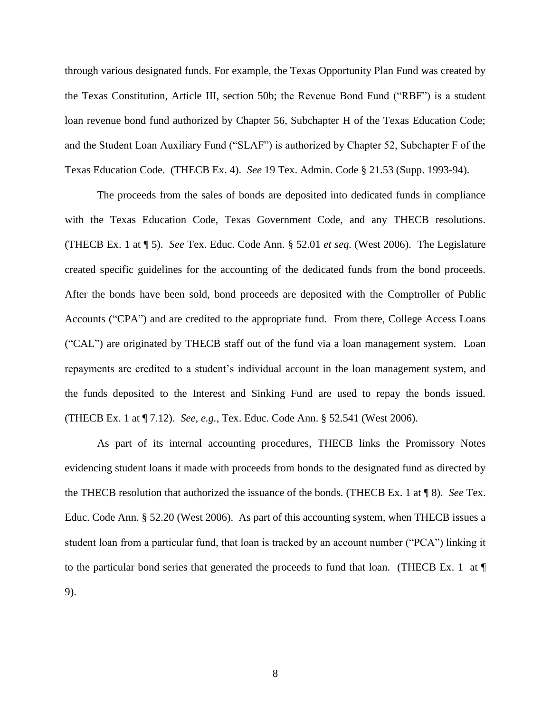through various designated funds. For example, the Texas Opportunity Plan Fund was created by the Texas Constitution, Article III, section 50b; the Revenue Bond Fund ("RBF") is a student loan revenue bond fund authorized by Chapter 56, Subchapter H of the Texas Education Code; and the Student Loan Auxiliary Fund ("SLAF") is authorized by Chapter 52, Subchapter F of the Texas Education Code. (THECB Ex. 4). *See* 19 Tex. Admin. Code § 21.53 (Supp. 1993-94).

The proceeds from the sales of bonds are deposited into dedicated funds in compliance with the Texas Education Code, Texas Government Code, and any THECB resolutions. (THECB Ex. 1 at ¶ 5). *See* Tex. Educ. Code Ann. § 52.01 *et seq*. (West 2006). The Legislature created specific guidelines for the accounting of the dedicated funds from the bond proceeds. After the bonds have been sold, bond proceeds are deposited with the Comptroller of Public Accounts ("CPA") and are credited to the appropriate fund. From there, College Access Loans ("CAL") are originated by THECB staff out of the fund via a loan management system. Loan repayments are credited to a student's individual account in the loan management system, and the funds deposited to the Interest and Sinking Fund are used to repay the bonds issued. (THECB Ex. 1 at ¶ 7.12). *See, e.g.*, Tex. Educ. Code Ann. § 52.541 (West 2006).

As part of its internal accounting procedures, THECB links the Promissory Notes evidencing student loans it made with proceeds from bonds to the designated fund as directed by the THECB resolution that authorized the issuance of the bonds. (THECB Ex. 1 at ¶ 8). *See* Tex. Educ. Code Ann. § 52.20 (West 2006). As part of this accounting system, when THECB issues a student loan from a particular fund, that loan is tracked by an account number ("PCA") linking it to the particular bond series that generated the proceeds to fund that loan. (THECB Ex. 1 at ¶ 9).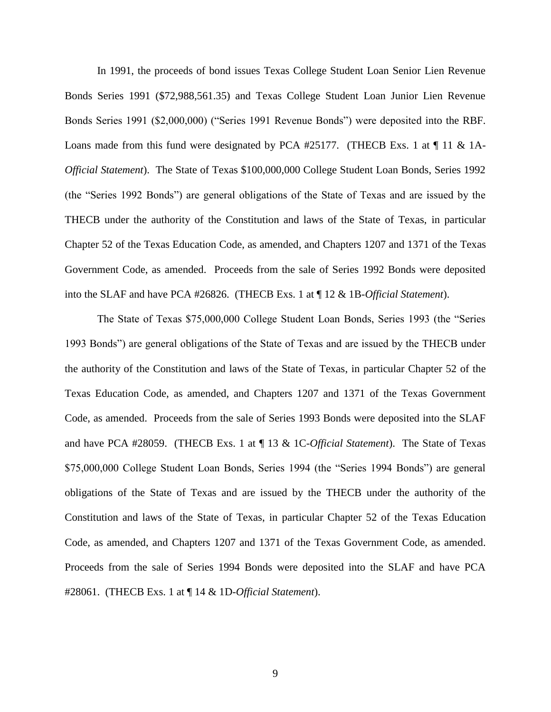In 1991, the proceeds of bond issues Texas College Student Loan Senior Lien Revenue Bonds Series 1991 (\$72,988,561.35) and Texas College Student Loan Junior Lien Revenue Bonds Series 1991 (\$2,000,000) ("Series 1991 Revenue Bonds") were deposited into the RBF. Loans made from this fund were designated by PCA #25177. (THECB Exs. 1 at  $\P$  11 & 1A-*Official Statement*). The State of Texas \$100,000,000 College Student Loan Bonds, Series 1992 (the "Series 1992 Bonds") are general obligations of the State of Texas and are issued by the THECB under the authority of the Constitution and laws of the State of Texas, in particular Chapter 52 of the Texas Education Code, as amended, and Chapters 1207 and 1371 of the Texas Government Code, as amended. Proceeds from the sale of Series 1992 Bonds were deposited into the SLAF and have PCA #26826. (THECB Exs. 1 at ¶ 12 & 1B-*Official Statement*).

The State of Texas \$75,000,000 College Student Loan Bonds, Series 1993 (the "Series 1993 Bonds") are general obligations of the State of Texas and are issued by the THECB under the authority of the Constitution and laws of the State of Texas, in particular Chapter 52 of the Texas Education Code, as amended, and Chapters 1207 and 1371 of the Texas Government Code, as amended. Proceeds from the sale of Series 1993 Bonds were deposited into the SLAF and have PCA #28059. (THECB Exs. 1 at ¶ 13 & 1C-*Official Statement*). The State of Texas \$75,000,000 College Student Loan Bonds, Series 1994 (the "Series 1994 Bonds") are general obligations of the State of Texas and are issued by the THECB under the authority of the Constitution and laws of the State of Texas, in particular Chapter 52 of the Texas Education Code, as amended, and Chapters 1207 and 1371 of the Texas Government Code, as amended. Proceeds from the sale of Series 1994 Bonds were deposited into the SLAF and have PCA #28061. (THECB Exs. 1 at ¶ 14 & 1D-*Official Statement*).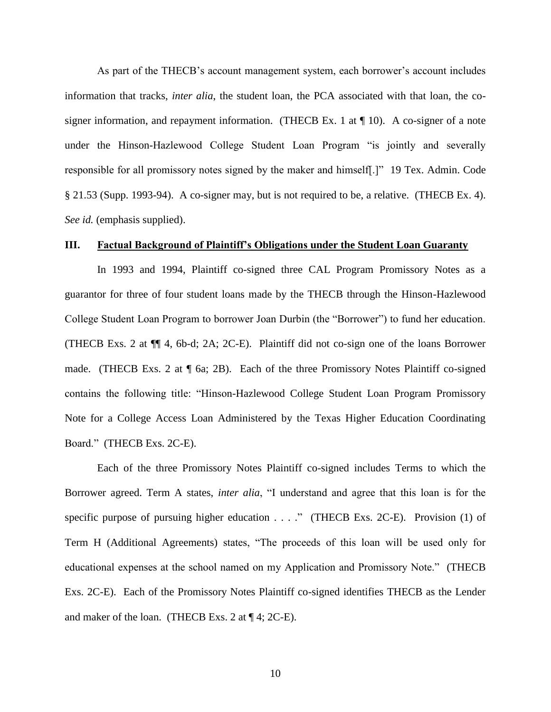As part of the THECB's account management system, each borrower's account includes information that tracks, *inter alia*, the student loan, the PCA associated with that loan, the cosigner information, and repayment information. (THECB Ex. 1 at  $\P$  10). A co-signer of a note under the Hinson-Hazlewood College Student Loan Program "is jointly and severally responsible for all promissory notes signed by the maker and himself[.]" 19 Tex. Admin. Code § 21.53 (Supp. 1993-94). A co-signer may, but is not required to be, a relative. (THECB Ex. 4). *See id.* (emphasis supplied).

### **III. Factual Background of Plaintiff's Obligations under the Student Loan Guaranty**

In 1993 and 1994, Plaintiff co-signed three CAL Program Promissory Notes as a guarantor for three of four student loans made by the THECB through the Hinson-Hazlewood College Student Loan Program to borrower Joan Durbin (the "Borrower") to fund her education. (THECB Exs. 2 at ¶¶ 4, 6b-d; 2A; 2C-E). Plaintiff did not co-sign one of the loans Borrower made. (THECB Exs. 2 at  $\P$  6a; 2B). Each of the three Promissory Notes Plaintiff co-signed contains the following title: "Hinson-Hazlewood College Student Loan Program Promissory Note for a College Access Loan Administered by the Texas Higher Education Coordinating Board." (THECB Exs. 2C-E).

Each of the three Promissory Notes Plaintiff co-signed includes Terms to which the Borrower agreed. Term A states, *inter alia*, "I understand and agree that this loan is for the specific purpose of pursuing higher education . . . ." (THECB Exs. 2C-E). Provision (1) of Term H (Additional Agreements) states, "The proceeds of this loan will be used only for educational expenses at the school named on my Application and Promissory Note." (THECB Exs. 2C-E). Each of the Promissory Notes Plaintiff co-signed identifies THECB as the Lender and maker of the loan. (THECB Exs. 2 at ¶ 4; 2C-E).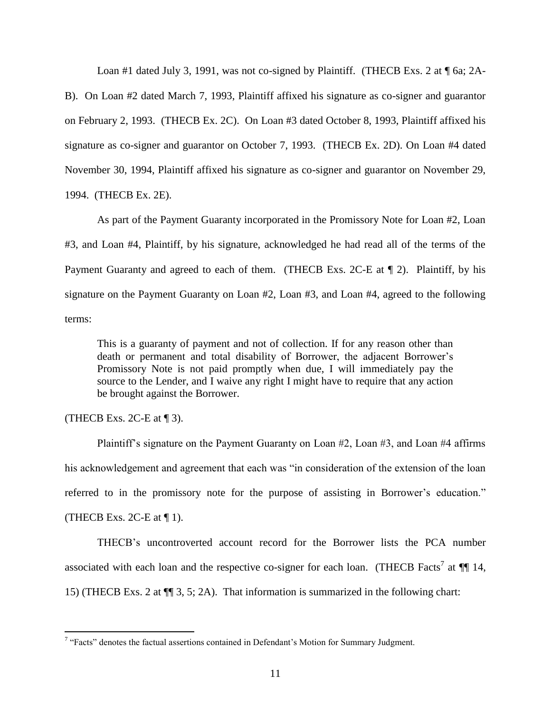Loan #1 dated July 3, 1991, was not co-signed by Plaintiff. (THECB Exs. 2 at  $\P$  6a; 2A-

B). On Loan #2 dated March 7, 1993, Plaintiff affixed his signature as co-signer and guarantor on February 2, 1993. (THECB Ex. 2C). On Loan #3 dated October 8, 1993, Plaintiff affixed his signature as co-signer and guarantor on October 7, 1993. (THECB Ex. 2D). On Loan #4 dated November 30, 1994, Plaintiff affixed his signature as co-signer and guarantor on November 29, 1994. (THECB Ex. 2E).

As part of the Payment Guaranty incorporated in the Promissory Note for Loan #2, Loan #3, and Loan #4, Plaintiff, by his signature, acknowledged he had read all of the terms of the Payment Guaranty and agreed to each of them. (THECB Exs. 2C-E at  $\P$  2). Plaintiff, by his signature on the Payment Guaranty on Loan #2, Loan #3, and Loan #4, agreed to the following terms:

This is a guaranty of payment and not of collection. If for any reason other than death or permanent and total disability of Borrower, the adjacent Borrower's Promissory Note is not paid promptly when due, I will immediately pay the source to the Lender, and I waive any right I might have to require that any action be brought against the Borrower.

(THECB Exs. 2C-E at  $\P$  3).

 $\overline{a}$ 

Plaintiff's signature on the Payment Guaranty on Loan #2, Loan #3, and Loan #4 affirms his acknowledgement and agreement that each was "in consideration of the extension of the loan referred to in the promissory note for the purpose of assisting in Borrower's education." (THECB Exs. 2C-E at  $\P$  1).

THECB's uncontroverted account record for the Borrower lists the PCA number associated with each loan and the respective co-signer for each loan. (THECB Facts<sup>7</sup> at  $\P$  14, 15) (THECB Exs. 2 at ¶¶ 3, 5; 2A). That information is summarized in the following chart:

 $7$  "Facts" denotes the factual assertions contained in Defendant's Motion for Summary Judgment.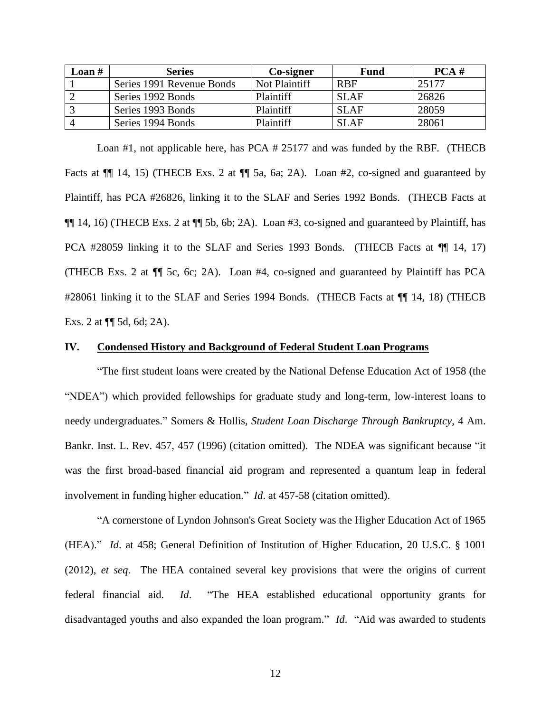| Loan # | <b>Series</b>             | Co-signer        | <b>Fund</b> | PCA # |
|--------|---------------------------|------------------|-------------|-------|
|        | Series 1991 Revenue Bonds | Not Plaintiff    | <b>RBF</b>  | 25177 |
|        | Series 1992 Bonds         | <b>Plaintiff</b> | <b>SLAF</b> | 26826 |
|        | Series 1993 Bonds         | Plaintiff        | SLAF        | 28059 |
|        | Series 1994 Bonds         | <b>Plaintiff</b> | SL AF       | 28061 |

Loan #1, not applicable here, has PCA # 25177 and was funded by the RBF. (THECB Facts at  $\P$ [ 14, 15) (THECB Exs. 2 at  $\P$ [ 5a, 6a; 2A). Loan #2, co-signed and guaranteed by Plaintiff, has PCA #26826, linking it to the SLAF and Series 1992 Bonds. (THECB Facts at ¶¶ 14, 16) (THECB Exs. 2 at ¶¶ 5b, 6b; 2A). Loan #3, co-signed and guaranteed by Plaintiff, has PCA #28059 linking it to the SLAF and Series 1993 Bonds. (THECB Facts at ¶¶ 14, 17) (THECB Exs. 2 at ¶¶ 5c, 6c; 2A). Loan #4, co-signed and guaranteed by Plaintiff has PCA #28061 linking it to the SLAF and Series 1994 Bonds. (THECB Facts at \[ 14, 18) (THECB Exs. 2 at ¶¶ 5d, 6d; 2A).

#### **IV. Condensed History and Background of Federal Student Loan Programs**

"The first student loans were created by the National Defense Education Act of 1958 (the "NDEA") which provided fellowships for graduate study and long-term, low-interest loans to needy undergraduates." Somers & Hollis, *Student Loan Discharge Through Bankruptcy*, 4 Am. Bankr. Inst. L. Rev. 457, 457 (1996) (citation omitted). The NDEA was significant because "it was the first broad-based financial aid program and represented a quantum leap in federal involvement in funding higher education." *Id*. at 457-58 (citation omitted).

"A cornerstone of Lyndon Johnson's Great Society was the Higher Education Act of 1965 (HEA)." *Id*. at 458; General Definition of Institution of Higher Education, 20 U.S.C. § 1001 (2012), *et seq*. The HEA contained several key provisions that were the origins of current federal financial aid. *Id*. "The HEA established educational opportunity grants for disadvantaged youths and also expanded the loan program." *Id*. "Aid was awarded to students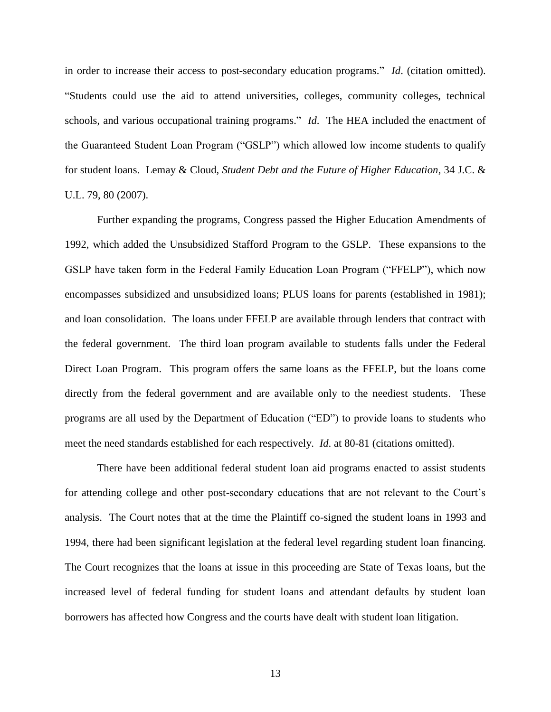in order to increase their access to post-secondary education programs." *Id*. (citation omitted). "Students could use the aid to attend universities, colleges, community colleges, technical schools, and various occupational training programs." *Id*. The HEA included the enactment of the Guaranteed Student Loan Program ("GSLP") which allowed low income students to qualify for student loans. Lemay & Cloud, *Student Debt and the Future of Higher Education*, 34 J.C. & U.L. 79, 80 (2007).

Further expanding the programs, Congress passed the Higher Education Amendments of 1992, which added the Unsubsidized Stafford Program to the GSLP. These expansions to the GSLP have taken form in the Federal Family Education Loan Program ("FFELP"), which now encompasses subsidized and unsubsidized loans; PLUS loans for parents (established in 1981); and loan consolidation. The loans under FFELP are available through lenders that contract with the federal government. The third loan program available to students falls under the Federal Direct Loan Program. This program offers the same loans as the FFELP, but the loans come directly from the federal government and are available only to the neediest students. These programs are all used by the Department of Education ("ED") to provide loans to students who meet the need standards established for each respectively. *Id*. at 80-81 (citations omitted).

There have been additional federal student loan aid programs enacted to assist students for attending college and other post-secondary educations that are not relevant to the Court's analysis. The Court notes that at the time the Plaintiff co-signed the student loans in 1993 and 1994, there had been significant legislation at the federal level regarding student loan financing. The Court recognizes that the loans at issue in this proceeding are State of Texas loans, but the increased level of federal funding for student loans and attendant defaults by student loan borrowers has affected how Congress and the courts have dealt with student loan litigation.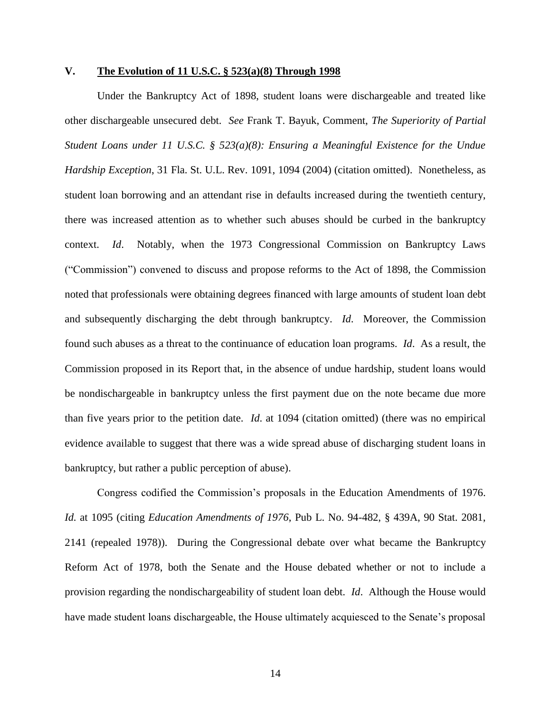## **V. The Evolution of 11 U.S.C. § 523(a)(8) Through 1998**

Under the Bankruptcy Act of 1898, student loans were dischargeable and treated like other dischargeable unsecured debt. *See* Frank T. Bayuk, Comment, *The Superiority of Partial Student Loans under 11 U.S.C. § 523(a)(8): Ensuring a Meaningful Existence for the Undue Hardship Exception*, 31 Fla. St. U.L. Rev. 1091, 1094 (2004) (citation omitted). Nonetheless, as student loan borrowing and an attendant rise in defaults increased during the twentieth century, there was increased attention as to whether such abuses should be curbed in the bankruptcy context. *Id*. Notably, when the 1973 Congressional Commission on Bankruptcy Laws ("Commission") convened to discuss and propose reforms to the Act of 1898, the Commission noted that professionals were obtaining degrees financed with large amounts of student loan debt and subsequently discharging the debt through bankruptcy. *Id*. Moreover, the Commission found such abuses as a threat to the continuance of education loan programs. *Id*. As a result, the Commission proposed in its Report that, in the absence of undue hardship, student loans would be nondischargeable in bankruptcy unless the first payment due on the note became due more than five years prior to the petition date. *Id*. at 1094 (citation omitted) (there was no empirical evidence available to suggest that there was a wide spread abuse of discharging student loans in bankruptcy, but rather a public perception of abuse).

Congress codified the Commission's proposals in the Education Amendments of 1976. *Id.* at 1095 (citing *Education Amendments of 1976*, Pub L. No. 94-482, § 439A, 90 Stat. 2081, 2141 (repealed 1978)). During the Congressional debate over what became the Bankruptcy Reform Act of 1978, both the Senate and the House debated whether or not to include a provision regarding the nondischargeability of student loan debt. *Id*. Although the House would have made student loans dischargeable, the House ultimately acquiesced to the Senate's proposal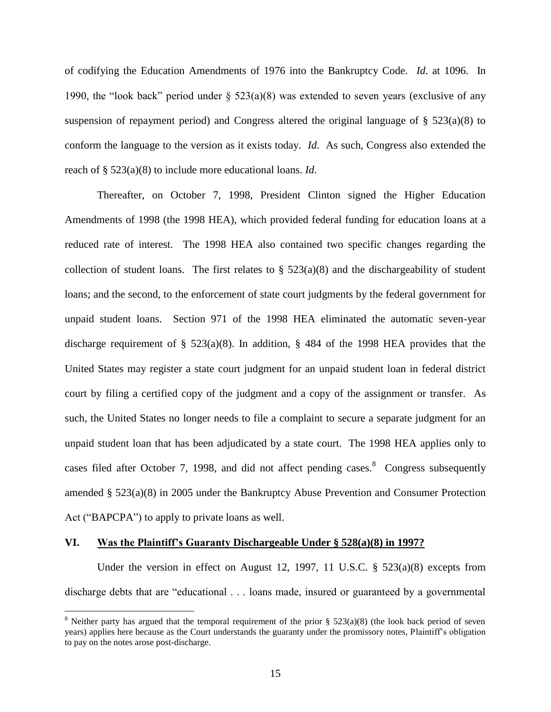of codifying the Education Amendments of 1976 into the Bankruptcy Code. *Id*. at 1096. In 1990, the "look back" period under  $\S$  523(a)(8) was extended to seven years (exclusive of any suspension of repayment period) and Congress altered the original language of  $\S$  523(a)(8) to conform the language to the version as it exists today. *Id*. As such, Congress also extended the reach of § 523(a)(8) to include more educational loans. *Id*.

Thereafter, on October 7, 1998, President Clinton signed the Higher Education Amendments of 1998 (the 1998 HEA), which provided federal funding for education loans at a reduced rate of interest. The 1998 HEA also contained two specific changes regarding the collection of student loans. The first relates to  $\S$  523(a)(8) and the dischargeability of student loans; and the second, to the enforcement of state court judgments by the federal government for unpaid student loans. Section 971 of the 1998 HEA eliminated the automatic seven-year discharge requirement of  $\S$  523(a)(8). In addition,  $\S$  484 of the 1998 HEA provides that the United States may register a state court judgment for an unpaid student loan in federal district court by filing a certified copy of the judgment and a copy of the assignment or transfer. As such, the United States no longer needs to file a complaint to secure a separate judgment for an unpaid student loan that has been adjudicated by a state court. The 1998 HEA applies only to cases filed after October 7, 1998, and did not affect pending cases. $8$  Congress subsequently amended § 523(a)(8) in 2005 under the Bankruptcy Abuse Prevention and Consumer Protection Act ("BAPCPA") to apply to private loans as well.

## **VI. Was the Plaintiff's Guaranty Dischargeable Under § 528(a)(8) in 1997?**

 $\overline{a}$ 

Under the version in effect on August 12, 1997, 11 U.S.C. § 523(a)(8) excepts from discharge debts that are "educational . . . loans made, insured or guaranteed by a governmental

<sup>&</sup>lt;sup>8</sup> Neither party has argued that the temporal requirement of the prior  $\S$  523(a)(8) (the look back period of seven years) applies here because as the Court understands the guaranty under the promissory notes, Plaintiff's obligation to pay on the notes arose post-discharge.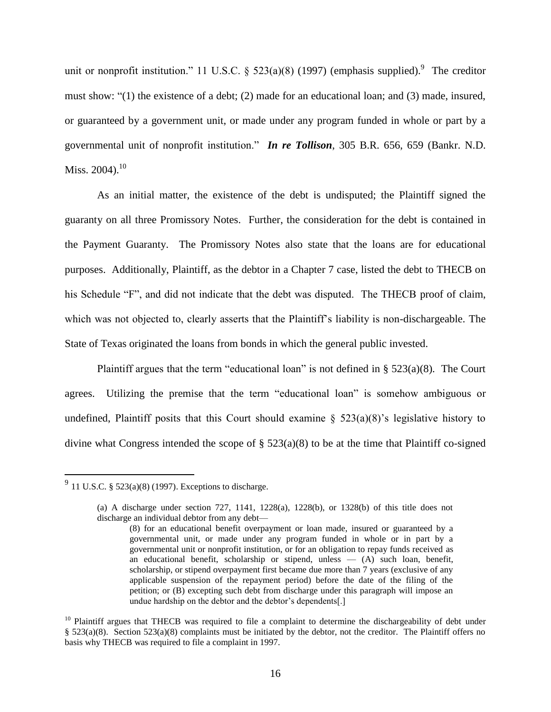unit or nonprofit institution." 11 U.S.C. § 523(a)(8) (1997) (emphasis supplied).<sup>9</sup> The creditor must show: "(1) the existence of a debt; (2) made for an educational loan; and (3) made, insured, or guaranteed by a government unit, or made under any program funded in whole or part by a governmental unit of nonprofit institution." *In re Tollison*, 305 B.R. 656, 659 (Bankr. N.D. Miss. 2004). $^{10}$ 

As an initial matter, the existence of the debt is undisputed; the Plaintiff signed the guaranty on all three Promissory Notes. Further, the consideration for the debt is contained in the Payment Guaranty. The Promissory Notes also state that the loans are for educational purposes. Additionally, Plaintiff, as the debtor in a Chapter 7 case, listed the debt to THECB on his Schedule "F", and did not indicate that the debt was disputed. The THECB proof of claim, which was not objected to, clearly asserts that the Plaintiff's liability is non-dischargeable. The State of Texas originated the loans from bonds in which the general public invested.

Plaintiff argues that the term "educational loan" is not defined in  $\S$  523(a)(8). The Court agrees. Utilizing the premise that the term "educational loan" is somehow ambiguous or undefined, Plaintiff posits that this Court should examine  $\S$  523(a)(8)'s legislative history to divine what Congress intended the scope of  $\S$  523(a)(8) to be at the time that Plaintiff co-signed

 $\overline{a}$ 

 $^{9}$  11 U.S.C. § 523(a)(8) (1997). Exceptions to discharge.

<sup>(</sup>a) A discharge under section 727, 1141, 1228(a), 1228(b), or 1328(b) of this title does not discharge an individual debtor from any debt—

<sup>(8)</sup> for an educational benefit overpayment or loan made, insured or guaranteed by a governmental unit, or made under any program funded in whole or in part by a governmental unit or nonprofit institution, or for an obligation to repay funds received as an educational benefit, scholarship or stipend, unless  $-$  (A) such loan, benefit, scholarship, or stipend overpayment first became due more than 7 years (exclusive of any applicable suspension of the repayment period) before the date of the filing of the petition; or (B) excepting such debt from discharge under this paragraph will impose an undue hardship on the debtor and the debtor's dependents[.]

 $10$  Plaintiff argues that THECB was required to file a complaint to determine the dischargeability of debt under § 523(a)(8). Section 523(a)(8) complaints must be initiated by the debtor, not the creditor. The Plaintiff offers no basis why THECB was required to file a complaint in 1997.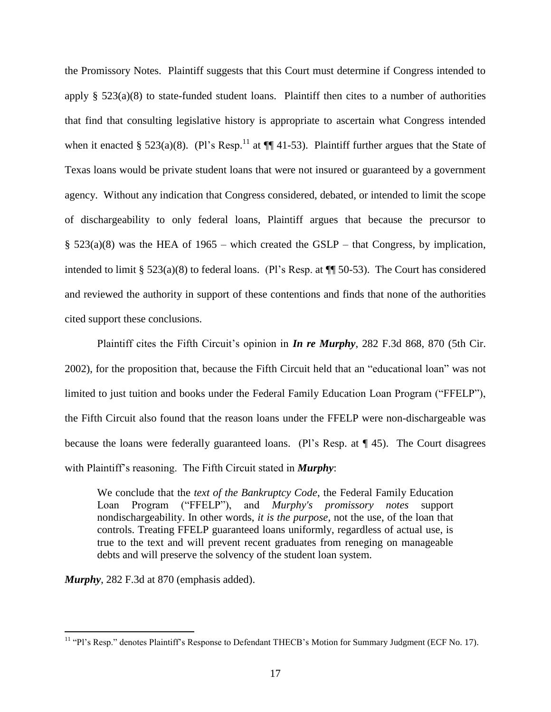the Promissory Notes. Plaintiff suggests that this Court must determine if Congress intended to apply  $\S$  523(a)(8) to state-funded student loans. Plaintiff then cites to a number of authorities that find that consulting legislative history is appropriate to ascertain what Congress intended when it enacted § 523(a)(8). (Pl's Resp.<sup>11</sup> at  $\P\P$  41-53). Plaintiff further argues that the State of Texas loans would be private student loans that were not insured or guaranteed by a government agency. Without any indication that Congress considered, debated, or intended to limit the scope of dischargeability to only federal loans, Plaintiff argues that because the precursor to  $\S$  523(a)(8) was the HEA of 1965 – which created the GSLP – that Congress, by implication, intended to limit § 523(a)(8) to federal loans. (Pl's Resp. at ¶¶ 50-53). The Court has considered and reviewed the authority in support of these contentions and finds that none of the authorities cited support these conclusions.

Plaintiff cites the Fifth Circuit's opinion in *In re Murphy*, 282 F.3d 868, 870 (5th Cir. 2002), for the proposition that, because the Fifth Circuit held that an "educational loan" was not limited to just tuition and books under the Federal Family Education Loan Program ("FFELP"), the Fifth Circuit also found that the reason loans under the FFELP were non-dischargeable was because the loans were federally guaranteed loans. (Pl's Resp. at ¶ 45). The Court disagrees with Plaintiff's reasoning. The Fifth Circuit stated in *Murphy*:

We conclude that the *text of the Bankruptcy Code*, the Federal Family Education Loan Program ("FFELP"), and *Murphy's promissory notes* support nondischargeability. In other words, *it is the purpose*, not the use, of the loan that controls. Treating FFELP guaranteed loans uniformly, regardless of actual use, is true to the text and will prevent recent graduates from reneging on manageable debts and will preserve the solvency of the student loan system.

*Murphy*, 282 F.3d at 870 (emphasis added).

 $\overline{a}$ 

<sup>&</sup>lt;sup>11</sup> "Pl's Resp." denotes Plaintiff's Response to Defendant THECB's Motion for Summary Judgment (ECF No. 17).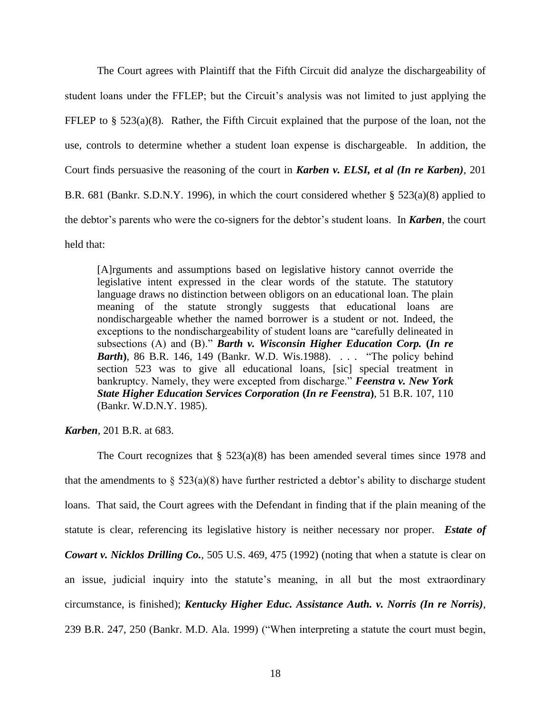The Court agrees with Plaintiff that the Fifth Circuit did analyze the dischargeability of student loans under the FFLEP; but the Circuit's analysis was not limited to just applying the FFLEP to  $\S$  523(a)(8). Rather, the Fifth Circuit explained that the purpose of the loan, not the use, controls to determine whether a student loan expense is dischargeable. In addition, the Court finds persuasive the reasoning of the court in *Karben v. ELSI, et al (In re Karben)*, 201 B.R. 681 (Bankr. S.D.N.Y. 1996), in which the court considered whether § 523(a)(8) applied to the debtor's parents who were the co-signers for the debtor's student loans. In *Karben*, the court held that:

[A]rguments and assumptions based on legislative history cannot override the legislative intent expressed in the clear words of the statute. The statutory language draws no distinction between obligors on an educational loan. The plain meaning of the statute strongly suggests that educational loans are nondischargeable whether the named borrower is a student or not. Indeed, the exceptions to the nondischargeability of student loans are "carefully delineated in subsections (A) and (B)." *[Barth v. Wisconsin Higher Education Corp.](https://a.next.westlaw.com/Link/Document/FullText?findType=Y&serNum=1988077378&pubNum=164&fi=co_pp_sp_164_149&originationContext=document&transitionType=DocumentItem&contextData=%28sc.UserEnteredCitation%29#co_pp_sp_164_149)* **(***In re Barth*)[, 86 B.R. 146, 149 \(Bankr.](https://a.next.westlaw.com/Link/Document/FullText?findType=Y&serNum=1988077378&pubNum=164&fi=co_pp_sp_164_149&originationContext=document&transitionType=DocumentItem&contextData=%28sc.UserEnteredCitation%29#co_pp_sp_164_149) W.D. Wis.1988). . . . "The policy behind [section 523](https://a.next.westlaw.com/Link/Document/FullText?findType=L&pubNum=1000546&cite=11USCAS523&originatingDoc=I266490b06eae11d9bd09d9bdc1d194d4&refType=LQ&originationContext=document&transitionType=DocumentItem&contextData=%28sc.UserEnteredCitation%29) was to give all educational loans, [sic] special treatment in bankruptcy. Namely, they were excepted from discharge." *[Feenstra v. New York](https://a.next.westlaw.com/Link/Document/FullText?findType=Y&serNum=1985137237&pubNum=164&fi=co_pp_sp_164_110&originationContext=document&transitionType=DocumentItem&contextData=%28sc.UserEnteredCitation%29#co_pp_sp_164_110)  [State Higher Education Services Corporation](https://a.next.westlaw.com/Link/Document/FullText?findType=Y&serNum=1985137237&pubNum=164&fi=co_pp_sp_164_110&originationContext=document&transitionType=DocumentItem&contextData=%28sc.UserEnteredCitation%29#co_pp_sp_164_110)* **(***In re Feenstra***)**, 51 B.R. 107, 110 (Bankr. [W.D.N.Y.](https://a.next.westlaw.com/Link/Document/FullText?findType=Y&serNum=1985137237&pubNum=164&fi=co_pp_sp_164_110&originationContext=document&transitionType=DocumentItem&contextData=%28sc.UserEnteredCitation%29#co_pp_sp_164_110) 1985).

*Karben*, 201 B.R. at 683.

The Court recognizes that  $\S$  523(a)(8) has been amended several times since 1978 and that the amendments to  $\S$  523(a)(8) have further restricted a debtor's ability to discharge student loans. That said, the Court agrees with the Defendant in finding that if the plain meaning of the statute is clear, referencing its legislative history is neither necessary nor proper. *Estate of Cowart v. Nicklos Drilling Co.*, 505 U.S. 469, 475 (1992) (noting that when a statute is clear on an issue, judicial inquiry into the statute's meaning, in all but the most extraordinary circumstance, is finished); *Kentucky Higher Educ. Assistance Auth. v. Norris (In re Norris)*, 239 B.R. 247, 250 (Bankr. M.D. Ala. 1999) ("When interpreting a statute the court must begin,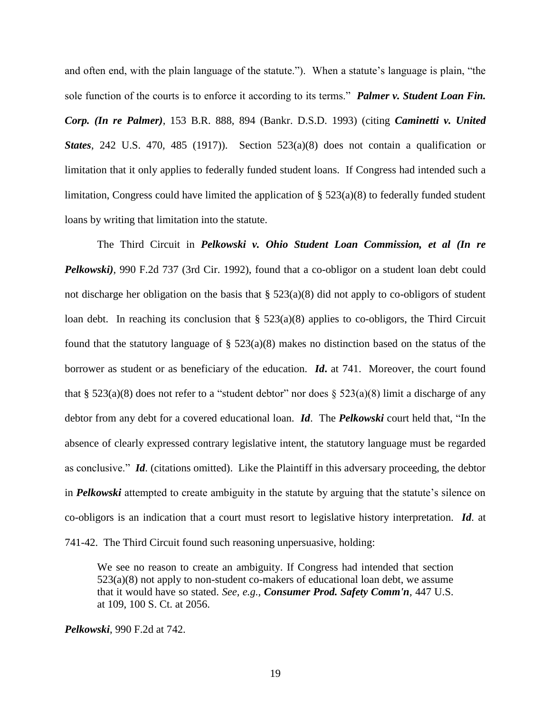and often end, with the plain language of the statute."). When a statute's language is plain, "the sole function of the courts is to enforce it according to its terms." *Palmer v. Student Loan Fin. Corp. (In re Palmer)*, 153 B.R. 888, 894 (Bankr. D.S.D. 1993) (citing *Caminetti v. United States*, 242 U.S. 470, 485 (1917)). Section 523(a)(8) does not contain a qualification or limitation that it only applies to federally funded student loans. If Congress had intended such a limitation, Congress could have limited the application of § 523(a)(8) to federally funded student loans by writing that limitation into the statute.

The Third Circuit in *Pelkowski v. Ohio Student Loan Commission, et al (In re Pelkowski)*, 990 F.2d 737 (3rd Cir. 1992), found that a co-obligor on a student loan debt could not discharge her obligation on the basis that § 523(a)(8) did not apply to co-obligors of student loan debt. In reaching its conclusion that  $\S$  523(a)(8) applies to co-obligors, the Third Circuit found that the statutory language of  $\S$  523(a)(8) makes no distinction based on the status of the borrower as student or as beneficiary of the education. *Id***.** at 741. Moreover, the court found that § 523(a)(8) does not refer to a "student debtor" nor does § 523(a)(8) limit a discharge of any debtor from any debt for a covered educational loan. *Id*. The *Pelkowski* court held that, "In the absence of clearly expressed contrary legislative intent, the statutory language must be regarded as conclusive." *Id*. (citations omitted). Like the Plaintiff in this adversary proceeding, the debtor in *Pelkowski* attempted to create ambiguity in the statute by arguing that the statute's silence on co-obligors is an indication that a court must resort to legislative history interpretation. *Id*. at 741-42. The Third Circuit found such reasoning unpersuasive, holding:

We see no reason to create an ambiguity. If Congress had intended that [section](https://a.next.westlaw.com/Link/Document/FullText?findType=L&pubNum=1000546&cite=11USCAS523&originationContext=document&transitionType=DocumentItem&contextData=%28sc.DocLink%29#co_pp_5b89000035844)   $523(a)(8)$  not apply to non-student co-makers of educational loan debt, we assume that it would have so stated. *See, e.g., [Consumer Prod. Safety Comm'n](https://a.next.westlaw.com/Link/Document/FullText?findType=Y&serNum=1980116766&pubNum=708&fi=co_pp_sp_708_2056&originationContext=document&transitionType=DocumentItem&contextData=%28sc.DocLink%29#co_pp_sp_708_2056),* 447 U.S. [at 109, 100 S.](https://a.next.westlaw.com/Link/Document/FullText?findType=Y&serNum=1980116766&pubNum=708&fi=co_pp_sp_708_2056&originationContext=document&transitionType=DocumentItem&contextData=%28sc.DocLink%29#co_pp_sp_708_2056) Ct. at 2056.

*Pelkowski*, 990 F.2d at 742.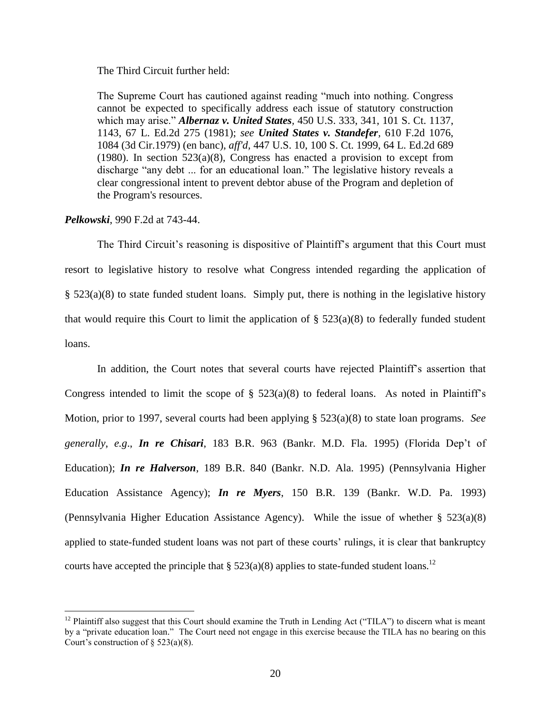The Third Circuit further held:

The Supreme Court has cautioned against reading "much into nothing. Congress cannot be expected to specifically address each issue of statutory construction which may arise." *[Albernaz v. United States](https://a.next.westlaw.com/Link/Document/FullText?findType=Y&serNum=1981110760&pubNum=708&fi=co_pp_sp_708_1143&originationContext=document&transitionType=DocumentItem&contextData=%28sc.DocLink%29#co_pp_sp_708_1143),* 450 U.S. 333, 341, 101 S. Ct. 1137, 1143, 67 L. [Ed.2d 275 \(1981\);](https://a.next.westlaw.com/Link/Document/FullText?findType=Y&serNum=1981110760&pubNum=708&fi=co_pp_sp_708_1143&originationContext=document&transitionType=DocumentItem&contextData=%28sc.DocLink%29#co_pp_sp_708_1143) *see [United States v. Standefer](https://a.next.westlaw.com/Link/Document/FullText?findType=Y&serNum=1979137226&pubNum=350&fi=co_pp_sp_350_1084&originationContext=document&transitionType=DocumentItem&contextData=%28sc.DocLink%29#co_pp_sp_350_1084),* 610 F.2d 1076, [1084 \(3d Cir.1979\)](https://a.next.westlaw.com/Link/Document/FullText?findType=Y&serNum=1979137226&pubNum=350&fi=co_pp_sp_350_1084&originationContext=document&transitionType=DocumentItem&contextData=%28sc.DocLink%29#co_pp_sp_350_1084) (en banc), *aff'd,* [447 U.S. 10, 100 S.](https://a.next.westlaw.com/Link/Document/FullText?findType=Y&serNum=1980116762&pubNum=708&originationContext=document&transitionType=DocumentItem&contextData=%28sc.DocLink%29) Ct. 1999, 64 L. Ed.2d 689 [\(1980\).](https://a.next.westlaw.com/Link/Document/FullText?findType=Y&serNum=1980116762&pubNum=708&originationContext=document&transitionType=DocumentItem&contextData=%28sc.DocLink%29) In section  $523(a)(8)$ , Congress has enacted a provision to except from discharge "any debt ... for an educational loan." The legislative history reveals a clear congressional intent to prevent debtor abuse of the Program and depletion of the Program's resources.

### *Pelkowski*, 990 F.2d at 743-44.

 $\overline{a}$ 

The Third Circuit's reasoning is dispositive of Plaintiff's argument that this Court must resort to legislative history to resolve what Congress intended regarding the application of § 523(a)(8) to state funded student loans. Simply put, there is nothing in the legislative history that would require this Court to limit the application of  $\S$  523(a)(8) to federally funded student loans.

In addition, the Court notes that several courts have rejected Plaintiff's assertion that Congress intended to limit the scope of  $\S$  523(a)(8) to federal loans. As noted in Plaintiff's Motion, prior to 1997, several courts had been applying § 523(a)(8) to state loan programs. *See generally*, *e.g*., *In re Chisari*, 183 B.R. 963 (Bankr. M.D. Fla. 1995) (Florida Dep't of Education); *In re Halverson*, 189 B.R. 840 (Bankr. N.D. Ala. 1995) (Pennsylvania Higher Education Assistance Agency); *In re Myers*, 150 B.R. 139 (Bankr. W.D. Pa. 1993) (Pennsylvania Higher Education Assistance Agency). While the issue of whether § 523(a)(8) applied to state-funded student loans was not part of these courts' rulings, it is clear that bankruptcy courts have accepted the principle that §  $523(a)(8)$  applies to state-funded student loans.<sup>12</sup>

 $12$  Plaintiff also suggest that this Court should examine the Truth in Lending Act ("TILA") to discern what is meant by a "private education loan." The Court need not engage in this exercise because the TILA has no bearing on this Court's construction of  $\S$  523(a)(8).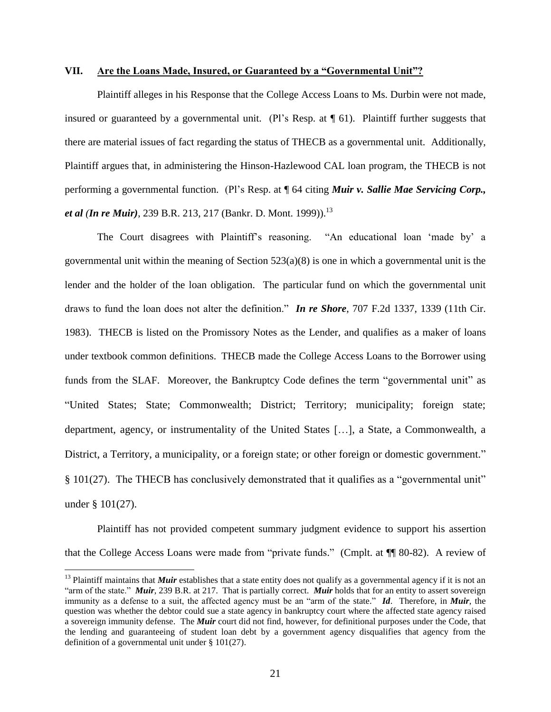#### **VII. Are the Loans Made, Insured, or Guaranteed by a "Governmental Unit"?**

Plaintiff alleges in his Response that the College Access Loans to Ms. Durbin were not made, insured or guaranteed by a governmental unit. (Pl's Resp. at ¶ 61). Plaintiff further suggests that there are material issues of fact regarding the status of THECB as a governmental unit. Additionally, Plaintiff argues that, in administering the Hinson-Hazlewood CAL loan program, the THECB is not performing a governmental function. (Pl's Resp. at ¶ 64 citing *Muir v. Sallie Mae Servicing Corp., et al (In re Muir)*, 239 B.R. 213, 217 (Bankr. D. Mont. 1999)). 13

The Court disagrees with Plaintiff's reasoning. "An educational loan 'made by' a governmental unit within the meaning of Section  $523(a)(8)$  is one in which a governmental unit is the lender and the holder of the loan obligation. The particular fund on which the governmental unit draws to fund the loan does not alter the definition." *In re Shore*, 707 F.2d 1337, 1339 (11th Cir. 1983). THECB is listed on the Promissory Notes as the Lender, and qualifies as a maker of loans under textbook common definitions. THECB made the College Access Loans to the Borrower using funds from the SLAF. Moreover, the Bankruptcy Code defines the term "governmental unit" as "United States; State; Commonwealth; District; Territory; municipality; foreign state; department, agency, or instrumentality of the United States […], a State, a Commonwealth, a District, a Territory, a municipality, or a foreign state; or other foreign or domestic government." § 101(27). The THECB has conclusively demonstrated that it qualifies as a "governmental unit" under § 101(27).

Plaintiff has not provided competent summary judgment evidence to support his assertion that the College Access Loans were made from "private funds." (Cmplt. at ¶¶ 80-82). A review of

 $\overline{a}$ 

<sup>&</sup>lt;sup>13</sup> Plaintiff maintains that *Muir* establishes that a state entity does not qualify as a governmental agency if it is not an "arm of the state." *Muir*, 239 B.R. at 217. That is partially correct. *Muir* holds that for an entity to assert sovereign immunity as a defense to a suit, the affected agency must be an "arm of the state." *Id*. Therefore, in *Muir*, the question was whether the debtor could sue a state agency in bankruptcy court where the affected state agency raised a sovereign immunity defense. The *Muir* court did not find, however, for definitional purposes under the Code, that the lending and guaranteeing of student loan debt by a government agency disqualifies that agency from the definition of a governmental unit under § 101(27).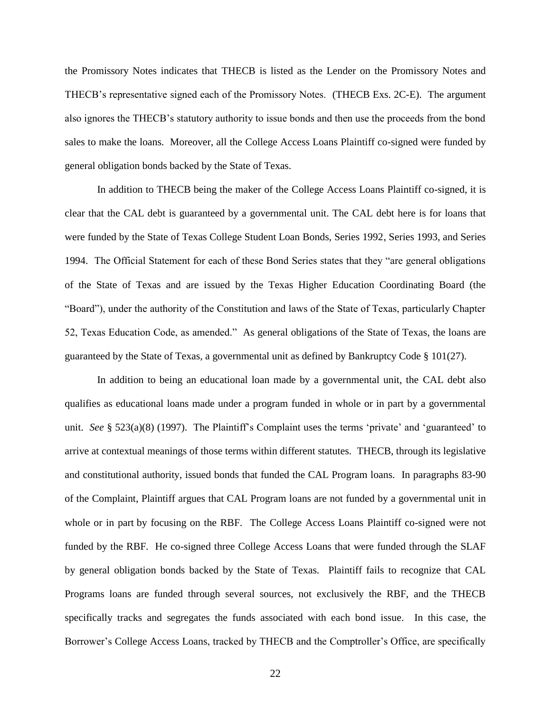the Promissory Notes indicates that THECB is listed as the Lender on the Promissory Notes and THECB's representative signed each of the Promissory Notes. (THECB Exs. 2C-E). The argument also ignores the THECB's statutory authority to issue bonds and then use the proceeds from the bond sales to make the loans. Moreover, all the College Access Loans Plaintiff co-signed were funded by general obligation bonds backed by the State of Texas.

In addition to THECB being the maker of the College Access Loans Plaintiff co-signed, it is clear that the CAL debt is guaranteed by a governmental unit. The CAL debt here is for loans that were funded by the State of Texas College Student Loan Bonds, Series 1992, Series 1993, and Series 1994. The Official Statement for each of these Bond Series states that they "are general obligations of the State of Texas and are issued by the Texas Higher Education Coordinating Board (the "Board"), under the authority of the Constitution and laws of the State of Texas, particularly Chapter 52, Texas Education Code, as amended." As general obligations of the State of Texas, the loans are guaranteed by the State of Texas, a governmental unit as defined by Bankruptcy Code § 101(27).

In addition to being an educational loan made by a governmental unit, the CAL debt also qualifies as educational loans made under a program funded in whole or in part by a governmental unit. *See* § 523(a)(8) (1997). The Plaintiff's Complaint uses the terms 'private' and 'guaranteed' to arrive at contextual meanings of those terms within different statutes. THECB, through its legislative and constitutional authority, issued bonds that funded the CAL Program loans. In paragraphs 83-90 of the Complaint, Plaintiff argues that CAL Program loans are not funded by a governmental unit in whole or in part by focusing on the RBF. The College Access Loans Plaintiff co-signed were not funded by the RBF. He co-signed three College Access Loans that were funded through the SLAF by general obligation bonds backed by the State of Texas. Plaintiff fails to recognize that CAL Programs loans are funded through several sources, not exclusively the RBF, and the THECB specifically tracks and segregates the funds associated with each bond issue. In this case, the Borrower's College Access Loans, tracked by THECB and the Comptroller's Office, are specifically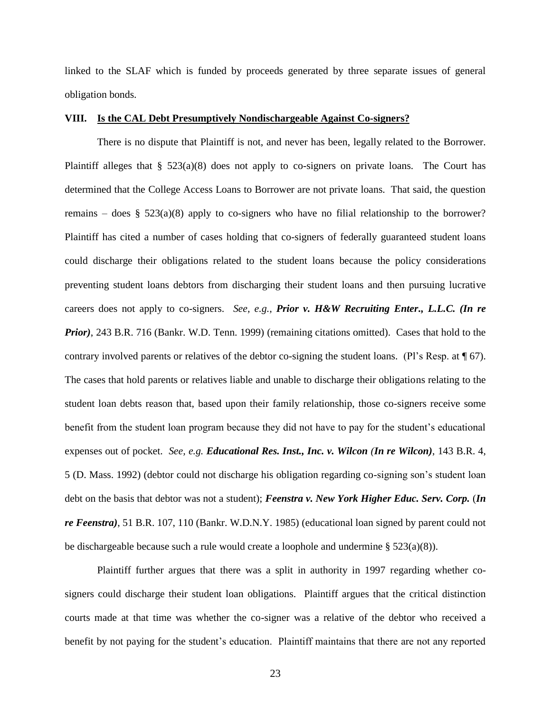linked to the SLAF which is funded by proceeds generated by three separate issues of general obligation bonds.

### **VIII. Is the CAL Debt Presumptively Nondischargeable Against Co-signers?**

There is no dispute that Plaintiff is not, and never has been, legally related to the Borrower. Plaintiff alleges that  $\S$  523(a)(8) does not apply to co-signers on private loans. The Court has determined that the College Access Loans to Borrower are not private loans. That said, the question remains – does § 523(a)(8) apply to co-signers who have no filial relationship to the borrower? Plaintiff has cited a number of cases holding that co-signers of federally guaranteed student loans could discharge their obligations related to the student loans because the policy considerations preventing student loans debtors from discharging their student loans and then pursuing lucrative careers does not apply to co-signers. *See, e.g., Prior v. H&W Recruiting Enter., L.L.C. (In re Prior*), 243 B.R. 716 (Bankr. W.D. Tenn. 1999) (remaining citations omitted). Cases that hold to the contrary involved parents or relatives of the debtor co-signing the student loans. (Pl's Resp. at ¶ 67). The cases that hold parents or relatives liable and unable to discharge their obligations relating to the student loan debts reason that, based upon their family relationship, those co-signers receive some benefit from the student loan program because they did not have to pay for the student's educational expenses out of pocket. *See, e.g. Educational Res. Inst., Inc. v. Wilcon (In re Wilcon)*, 143 B.R. 4, 5 (D. Mass. 1992) (debtor could not discharge his obligation regarding co-signing son's student loan debt on the basis that debtor was not a student); *Feenstra v. New York Higher Educ. Serv. Corp.* (*In re Feenstra)*, 51 B.R. 107, 110 (Bankr. W.D.N.Y. 1985) (educational loan signed by parent could not be dischargeable because such a rule would create a loophole and undermine  $\S 523(a)(8)$ .

Plaintiff further argues that there was a split in authority in 1997 regarding whether cosigners could discharge their student loan obligations. Plaintiff argues that the critical distinction courts made at that time was whether the co-signer was a relative of the debtor who received a benefit by not paying for the student's education. Plaintiff maintains that there are not any reported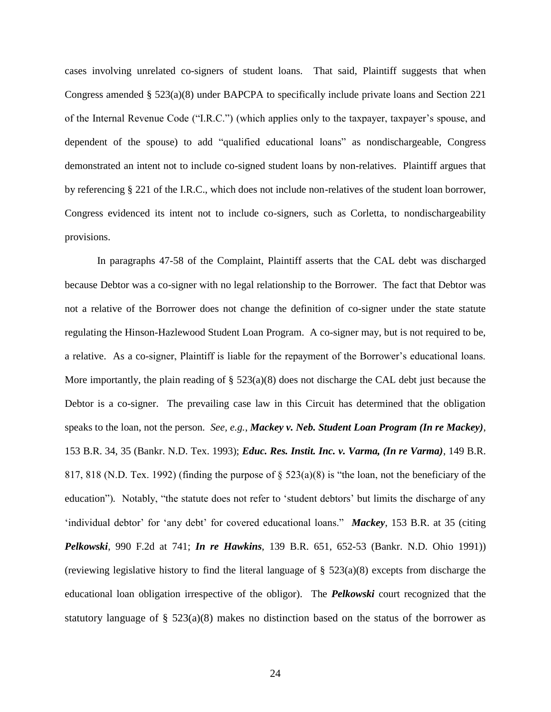cases involving unrelated co-signers of student loans. That said, Plaintiff suggests that when Congress amended § 523(a)(8) under BAPCPA to specifically include private loans and Section 221 of the Internal Revenue Code ("I.R.C.") (which applies only to the taxpayer, taxpayer's spouse, and dependent of the spouse) to add "qualified educational loans" as nondischargeable, Congress demonstrated an intent not to include co-signed student loans by non-relatives. Plaintiff argues that by referencing § 221 of the I.R.C., which does not include non-relatives of the student loan borrower, Congress evidenced its intent not to include co-signers, such as Corletta, to nondischargeability provisions.

In paragraphs 47-58 of the Complaint, Plaintiff asserts that the CAL debt was discharged because Debtor was a co-signer with no legal relationship to the Borrower. The fact that Debtor was not a relative of the Borrower does not change the definition of co-signer under the state statute regulating the Hinson-Hazlewood Student Loan Program. A co-signer may, but is not required to be, a relative. As a co-signer, Plaintiff is liable for the repayment of the Borrower's educational loans. More importantly, the plain reading of § 523(a)(8) does not discharge the CAL debt just because the Debtor is a co-signer. The prevailing case law in this Circuit has determined that the obligation speaks to the loan, not the person*. See, e.g.*, *Mackey v. Neb. Student Loan Program (In re Mackey)*, 153 B.R. 34, 35 (Bankr. N.D. Tex. 1993); *Educ. Res. Instit. Inc. v. Varma, (In re Varma)*, 149 B.R. 817, 818 (N.D. Tex. 1992) (finding the purpose of  $\S$  523(a)(8) is "the loan, not the beneficiary of the education")*.* Notably, "the statute does not refer to 'student debtors' but limits the discharge of any 'individual debtor' for 'any debt' for covered educational loans." *Mackey*, 153 B.R. at 35 (citing *Pelkowski*, 990 F.2d at 741; *In re Hawkins*, 139 B.R. 651, 652-53 (Bankr. N.D. Ohio 1991)) (reviewing legislative history to find the literal language of  $\S$  523(a)(8) excepts from discharge the educational loan obligation irrespective of the obligor). The *Pelkowski* court recognized that the statutory language of  $\S$  523(a)(8) makes no distinction based on the status of the borrower as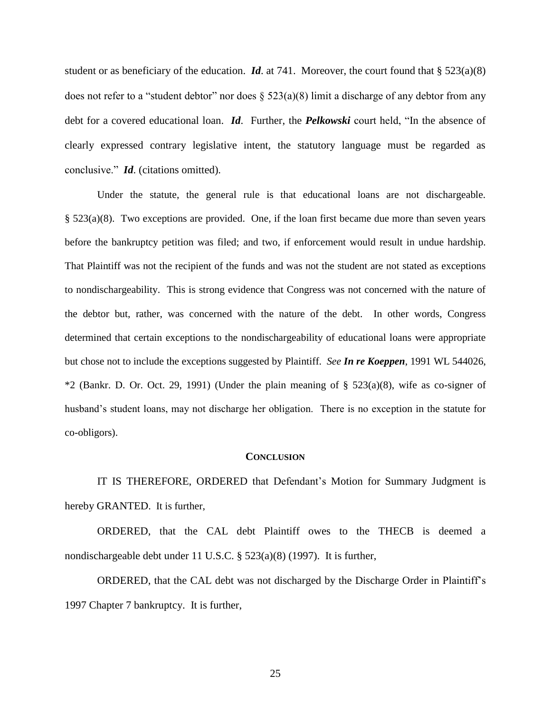student or as beneficiary of the education. *Id.* at 741. Moreover, the court found that  $\S 523(a)(8)$ does not refer to a "student debtor" nor does  $\S$  523(a)(8) limit a discharge of any debtor from any debt for a covered educational loan. *Id*. Further, the *Pelkowski* court held, "In the absence of clearly expressed contrary legislative intent, the statutory language must be regarded as conclusive." *Id*. (citations omitted).

Under the statute, the general rule is that educational loans are not dischargeable. § 523(a)(8). Two exceptions are provided. One, if the loan first became due more than seven years before the bankruptcy petition was filed; and two, if enforcement would result in undue hardship. That Plaintiff was not the recipient of the funds and was not the student are not stated as exceptions to nondischargeability. This is strong evidence that Congress was not concerned with the nature of the debtor but, rather, was concerned with the nature of the debt. In other words, Congress determined that certain exceptions to the nondischargeability of educational loans were appropriate but chose not to include the exceptions suggested by Plaintiff. *See In re Koeppen*, 1991 WL 544026,  $*2$  (Bankr. D. Or. Oct. 29, 1991) (Under the plain meaning of § 523(a)(8), wife as co-signer of husband's student loans, may not discharge her obligation. There is no exception in the statute for co-obligors).

#### **CONCLUSION**

IT IS THEREFORE, ORDERED that Defendant's Motion for Summary Judgment is hereby GRANTED. It is further,

ORDERED, that the CAL debt Plaintiff owes to the THECB is deemed a nondischargeable debt under 11 U.S.C. § 523(a)(8) (1997). It is further,

ORDERED, that the CAL debt was not discharged by the Discharge Order in Plaintiff's 1997 Chapter 7 bankruptcy. It is further,

25